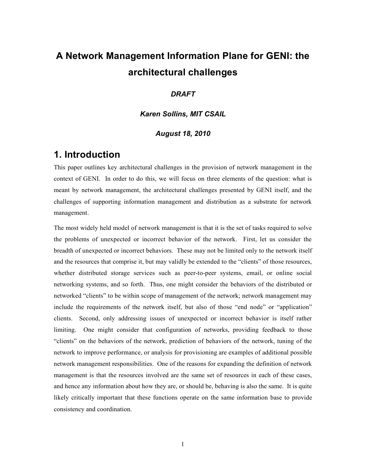# **A Network Management Information Plane for GENI: the architectural challenges**

#### *DRAFT*

*Karen Sollins, MIT CSAIL*

#### *August 18, 2010*

### **1. Introduction**

This paper outlines key architectural challenges in the provision of network management in the context of GENI. In order to do this, we will focus on three elements of the question: what is meant by network management, the architectural challenges presented by GENI itself, and the challenges of supporting information management and distribution as a substrate for network management.

The most widely held model of network management is that it is the set of tasks required to solve the problems of unexpected or incorrect behavior of the network. First, let us consider the breadth of unexpected or incorrect behaviors. These may not be limited only to the network itself and the resources that comprise it, but may validly be extended to the "clients" of those resources, whether distributed storage services such as peer-to-peer systems, email, or online social networking systems, and so forth. Thus, one might consider the behaviors of the distributed or networked "clients" to be within scope of management of the network; network management may include the requirements of the network itself, but also of those "end node" or "application" clients. Second, only addressing issues of unexpected or incorrect behavior is itself rather limiting. One might consider that configuration of networks, providing feedback to those "clients" on the behaviors of the network, prediction of behaviors of the network, tuning of the network to improve performance, or analysis for provisioning are examples of additional possible network management responsibilities. One of the reasons for expanding the definition of network management is that the resources involved are the same set of resources in each of these cases, and hence any information about how they are, or should be, behaving is also the same. It is quite likely critically important that these functions operate on the same information base to provide consistency and coordination.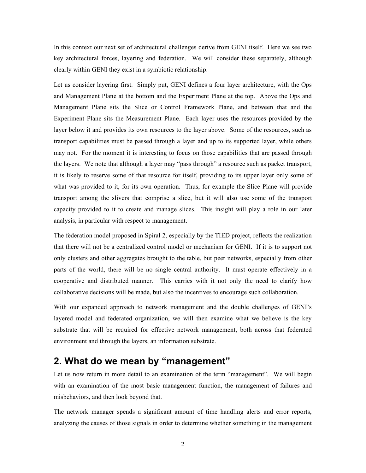In this context our next set of architectural challenges derive from GENI itself. Here we see two key architectural forces, layering and federation. We will consider these separately, although clearly within GENI they exist in a symbiotic relationship.

Let us consider layering first. Simply put, GENI defines a four layer architecture, with the Ops and Management Plane at the bottom and the Experiment Plane at the top. Above the Ops and Management Plane sits the Slice or Control Framework Plane, and between that and the Experiment Plane sits the Measurement Plane. Each layer uses the resources provided by the layer below it and provides its own resources to the layer above. Some of the resources, such as transport capabilities must be passed through a layer and up to its supported layer, while others may not. For the moment it is interesting to focus on those capabilities that are passed through the layers. We note that although a layer may "pass through" a resource such as packet transport, it is likely to reserve some of that resource for itself, providing to its upper layer only some of what was provided to it, for its own operation. Thus, for example the Slice Plane will provide transport among the slivers that comprise a slice, but it will also use some of the transport capacity provided to it to create and manage slices. This insight will play a role in our later analysis, in particular with respect to management.

The federation model proposed in Spiral 2, especially by the TIED project, reflects the realization that there will not be a centralized control model or mechanism for GENI. If it is to support not only clusters and other aggregates brought to the table, but peer networks, especially from other parts of the world, there will be no single central authority. It must operate effectively in a cooperative and distributed manner. This carries with it not only the need to clarify how collaborative decisions will be made, but also the incentives to encourage such collaboration.

With our expanded approach to network management and the double challenges of GENI's layered model and federated organization, we will then examine what we believe is the key substrate that will be required for effective network management, both across that federated environment and through the layers, an information substrate.

### **2. What do we mean by "management"**

Let us now return in more detail to an examination of the term "management". We will begin with an examination of the most basic management function, the management of failures and misbehaviors, and then look beyond that.

The network manager spends a significant amount of time handling alerts and error reports, analyzing the causes of those signals in order to determine whether something in the management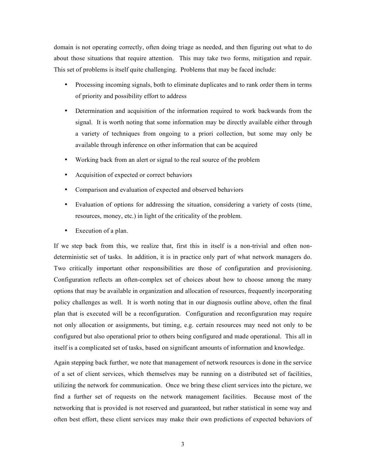domain is not operating correctly, often doing triage as needed, and then figuring out what to do about those situations that require attention. This may take two forms, mitigation and repair. This set of problems is itself quite challenging. Problems that may be faced include:

- Processing incoming signals, both to eliminate duplicates and to rank order them in terms of priority and possibility effort to address
- Determination and acquisition of the information required to work backwards from the signal. It is worth noting that some information may be directly available either through a variety of techniques from ongoing to a priori collection, but some may only be available through inference on other information that can be acquired
- Working back from an alert or signal to the real source of the problem
- Acquisition of expected or correct behaviors
- Comparison and evaluation of expected and observed behaviors
- Evaluation of options for addressing the situation, considering a variety of costs (time, resources, money, etc.) in light of the criticality of the problem.
- Execution of a plan.

If we step back from this, we realize that, first this in itself is a non-trivial and often nondeterministic set of tasks. In addition, it is in practice only part of what network managers do. Two critically important other responsibilities are those of configuration and provisioning. Configuration reflects an often-complex set of choices about how to choose among the many options that may be available in organization and allocation of resources, frequently incorporating policy challenges as well. It is worth noting that in our diagnosis outline above, often the final plan that is executed will be a reconfiguration. Configuration and reconfiguration may require not only allocation or assignments, but timing, e.g. certain resources may need not only to be configured but also operational prior to others being configured and made operational. This all in itself is a complicated set of tasks, based on significant amounts of information and knowledge.

Again stepping back further, we note that management of network resources is done in the service of a set of client services, which themselves may be running on a distributed set of facilities, utilizing the network for communication. Once we bring these client services into the picture, we find a further set of requests on the network management facilities. Because most of the networking that is provided is not reserved and guaranteed, but rather statistical in some way and often best effort, these client services may make their own predictions of expected behaviors of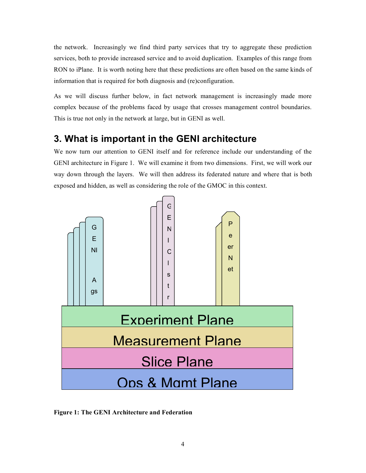the network. Increasingly we find third party services that try to aggregate these prediction services, both to provide increased service and to avoid duplication. Examples of this range from RON to iPlane. It is worth noting here that these predictions are often based on the same kinds of information that is required for both diagnosis and (re)configuration.

As we will discuss further below, in fact network management is increasingly made more complex because of the problems faced by usage that crosses management control boundaries. This is true not only in the network at large, but in GENI as well.

# **3. What is important in the GENI architecture**

We now turn our attention to GENI itself and for reference include our understanding of the GENI architecture in Figure 1. We will examine it from two dimensions. First, we will work our way down through the layers. We will then address its federated nature and where that is both exposed and hidden, as well as considering the role of the GMOC in this context.



**Figure 1: The GENI Architecture and Federation**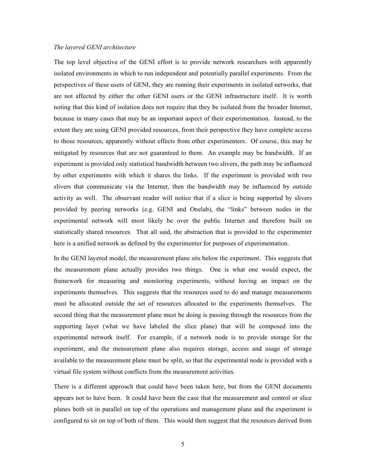#### *The layered GENI architecture*

The top level objective of the GENI effort is to provide network researchers with apparently isolated environments in which to run independent and potentially parallel experiments. From the perspectives of these users of GENI, they are running their experiments in isolated networks, that are not affected by either the other GENI users or the GENI infrastructure itself. It is worth noting that this kind of isolation does not require that they be isolated from the broader Internet, because in many cases that may be an important aspect of their experimentation. Instead, to the extent they are using GENI provided resources, from their perspective they have complete access to those resources, apparently without effects from other experimenters. Of course, this may be mitigated by resources that are not guaranteed to them. An example may be bandwidth. If an experiment is provided only statistical bandwidth between two slivers, the path may be influenced by other experiments with which it shares the links. If the experiment is provided with two slivers that communicate via the Internet, then the bandwidth may be influenced by outside activity as well. The observant reader will notice that if a slice is being supported by slivers provided by peering networks (e.g. GENI and Onelab), the "links" between nodes in the experimental network will most likely be over the public Internet and therefore built on statistically shared resources. That all said, the abstraction that is provided to the experimenter here is a unified network as defined by the experimenter for purposes of experimentation.

In the GENI layered model, the measurement plane sits below the experiment. This suggests that the measurement plane actually provides two things. One is what one would expect, the framework for measuring and monitoring experiments, without having an impact on the experiments themselves. This suggests that the resources used to do and manage measurements must be allocated outside the set of resources allocated to the experiments themselves. The second thing that the measurement plane must be doing is passing through the resources from the supporting layer (what we have labeled the slice plane) that will be composed into the experimental network itself. For example, if a network node is to provide storage for the experiment, and the measurement plane also requires storage, access and usage of storage available to the measurement plane must be split, so that the experimental node is provided with a virtual file system without conflicts from the measurement activities.

There is a different approach that could have been taken here, but from the GENI documents appears not to have been. It could have been the case that the measurement and control or slice planes both sit in parallel on top of the operations and management plane and the experiment is configured to sit on top of both of them. This would then suggest that the resources derived from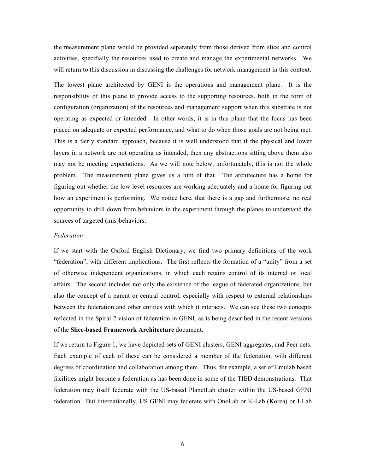the measurement plane would be provided separately from those derived from slice and control activities, specifially the resources used to create and manage the experimental networks. We will return to this discussion in discussing the challenges for network management in this context.

The lowest plane architected by GENI is the operations and management plane. It is the responsibility of this plane to provide access to the supporting resources, both in the form of configuration (organization) of the resources and management support when this substrate is not operating as expected or intended. In other words, it is in this plane that the focus has been placed on adequate or expected performance, and what to do when those goals are not being met. This is a fairly standard approach, because it is well understood that if the physical and lower layers in a network are not operating as intended, then any abstractions sitting above them also may not be meeting expectations. As we will note below, unfortunately, this is not the whole problem. The measurement plane gives us a hint of that. The architecture has a home for figuring out whether the low level resources are working adequately and a home for figuring out how an experiment is performing. We notice here, that there is a gap and furthermore, no real opportunity to drill down from behaviors in the experiment through the planes to understand the sources of targeted (mis)behaviors.

#### *Federation*

If we start with the Oxford English Dictionary, we find two primary definitions of the work "federation", with different implications. The first reflects the formation of a "unity" from a set of otherwise independent organizations, in which each retains control of its internal or local affairs. The second includes not only the existence of the league of federated organizations, but also the concept of a parent or central control, especially with respect to external relationships between the federation and other entities with which it interacts. We can see these two concepts reflected in the Spiral 2 vision of federation in GENI, as is being described in the recent versions of the **Slice-based Framework Architecture** document.

If we return to Figure 1, we have depicted sets of GENI clusters, GENI aggregates, and Peer nets. Each example of each of these can be considered a member of the federation, with different degrees of coordination and collaboration among them. Thus, for example, a set of Emulab based facilities might become a federation as has been done in some of the TIED demonstrations. That federation may itself federate with the US-based PlanetLab cluster within the US-based GENI federation. But internationally, US GENI may federate with OneLab or K-Lab (Korea) or J-Lab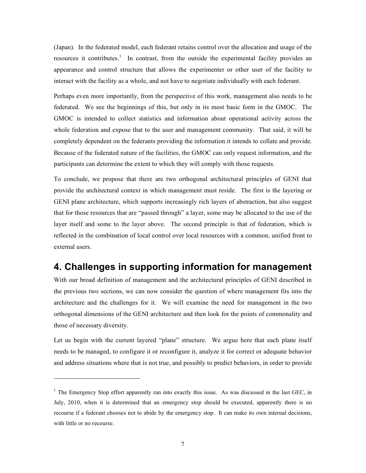(Japan). In the federated model, each federant retains control over the allocation and usage of the resources it contributes.<sup>1</sup> In contrast, from the outside the experimental facility provides an appearance and control structure that allows the experimenter or other user of the facility to interact with the facility as a whole, and not have to negotiate individually with each federant.

Perhaps even more importantly, from the perspective of this work, management also needs to be federated. We see the beginnings of this, but only in its most basic form in the GMOC. The GMOC is intended to collect statistics and information about operational activity across the whole federation and expose that to the user and management community. That said, it will be completely dependent on the federants providing the information it intends to collate and provide. Because of the federated nature of the facilities, the GMOC can only request information, and the participants can determine the extent to which they will comply with those requests.

To conclude, we propose that there are two orthogonal architectural principles of GENI that provide the architectural context in which management must reside. The first is the layering or GENI plane architecture, which supports increasingly rich layers of abstraction, but also suggest that for those resources that are "passed through" a layer, some may be allocated to the use of the layer itself and some to the layer above. The second principle is that of federation, which is reflected in the combination of local control over local resources with a common, unified front to external users.

## **4. Challenges in supporting information for management**

With our broad definition of management and the architectural principles of GENI described in the previous two sections, we can now consider the question of where management fits into the architecture and the challenges for it. We will examine the need for management in the two orthogonal dimensions of the GENI architecture and then look for the points of commonality and those of necessary diversity.

Let us begin with the current layered "plane" structure. We argue here that each plane itself needs to be managed, to configure it or reconfigure it, analyze it for correct or adequate behavior and address situations where that is not true, and possibly to predict behaviors, in order to provide

l

 $<sup>1</sup>$  The Emergency Stop effort apparently ran into exactly this issue. As was discussed in the last GEC, in</sup> July, 2010, when it is determined that an emergency stop should be executed, apparently there is no recourse if a federant chooses not to abide by the emergency stop. It can make its own internal decisions, with little or no recourse.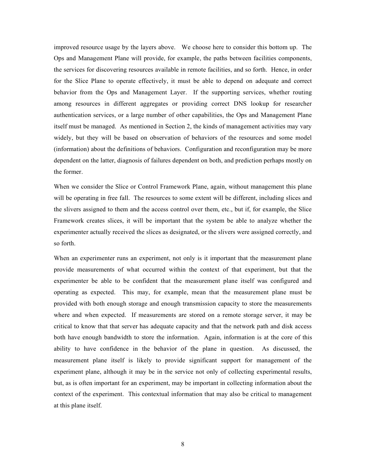improved resource usage by the layers above. We choose here to consider this bottom up. The Ops and Management Plane will provide, for example, the paths between facilities components, the services for discovering resources available in remote facilities, and so forth. Hence, in order for the Slice Plane to operate effectively, it must be able to depend on adequate and correct behavior from the Ops and Management Layer. If the supporting services, whether routing among resources in different aggregates or providing correct DNS lookup for researcher authentication services, or a large number of other capabilities, the Ops and Management Plane itself must be managed. As mentioned in Section 2, the kinds of management activities may vary widely, but they will be based on observation of behaviors of the resources and some model (information) about the definitions of behaviors. Configuration and reconfiguration may be more dependent on the latter, diagnosis of failures dependent on both, and prediction perhaps mostly on the former.

When we consider the Slice or Control Framework Plane, again, without management this plane will be operating in free fall. The resources to some extent will be different, including slices and the slivers assigned to them and the access control over them, etc., but if, for example, the Slice Framework creates slices, it will be important that the system be able to analyze whether the experimenter actually received the slices as designated, or the slivers were assigned correctly, and so forth.

When an experimenter runs an experiment, not only is it important that the measurement plane provide measurements of what occurred within the context of that experiment, but that the experimenter be able to be confident that the measurement plane itself was configured and operating as expected. This may, for example, mean that the measurement plane must be provided with both enough storage and enough transmission capacity to store the measurements where and when expected. If measurements are stored on a remote storage server, it may be critical to know that that server has adequate capacity and that the network path and disk access both have enough bandwidth to store the information. Again, information is at the core of this ability to have confidence in the behavior of the plane in question. As discussed, the measurement plane itself is likely to provide significant support for management of the experiment plane, although it may be in the service not only of collecting experimental results, but, as is often important for an experiment, may be important in collecting information about the context of the experiment. This contextual information that may also be critical to management at this plane itself.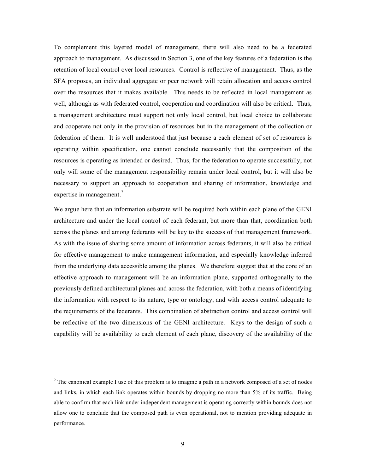To complement this layered model of management, there will also need to be a federated approach to management. As discussed in Section 3, one of the key features of a federation is the retention of local control over local resources. Control is reflective of management. Thus, as the SFA proposes, an individual aggregate or peer network will retain allocation and access control over the resources that it makes available. This needs to be reflected in local management as well, although as with federated control, cooperation and coordination will also be critical. Thus, a management architecture must support not only local control, but local choice to collaborate and cooperate not only in the provision of resources but in the management of the collection or federation of them. It is well understood that just because a each element of set of resources is operating within specification, one cannot conclude necessarily that the composition of the resources is operating as intended or desired. Thus, for the federation to operate successfully, not only will some of the management responsibility remain under local control, but it will also be necessary to support an approach to cooperation and sharing of information, knowledge and expertise in management.<sup>2</sup>

We argue here that an information substrate will be required both within each plane of the GENI architecture and under the local control of each federant, but more than that, coordination both across the planes and among federants will be key to the success of that management framework. As with the issue of sharing some amount of information across federants, it will also be critical for effective management to make management information, and especially knowledge inferred from the underlying data accessible among the planes. We therefore suggest that at the core of an effective approach to management will be an information plane, supported orthogonally to the previously defined architectural planes and across the federation, with both a means of identifying the information with respect to its nature, type or ontology, and with access control adequate to the requirements of the federants. This combination of abstraction control and access control will be reflective of the two dimensions of the GENI architecture. Keys to the design of such a capability will be availability to each element of each plane, discovery of the availability of the

 $\overline{a}$ 

<sup>&</sup>lt;sup>2</sup> The canonical example I use of this problem is to imagine a path in a network composed of a set of nodes and links, in which each link operates within bounds by dropping no more than 5% of its traffic. Being able to confirm that each link under independent management is operating correctly within bounds does not allow one to conclude that the composed path is even operational, not to mention providing adequate in performance.